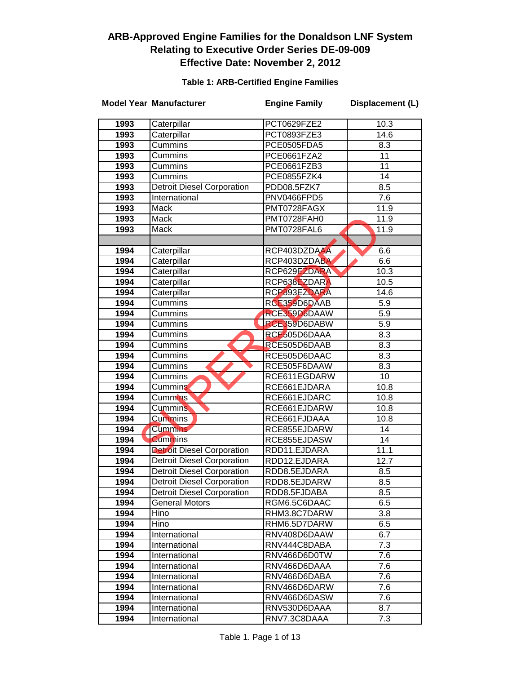#### **Table 1: ARB-Certified Engine Families**

|      | <b>Model Year Manufacturer</b>    | <b>Engine Family</b> | Displacement (L) |
|------|-----------------------------------|----------------------|------------------|
| 1993 | Caterpillar                       | PCT0629FZE2          | 10.3             |
| 1993 | Caterpillar                       | PCT0893FZE3          | 14.6             |
| 1993 | Cummins                           | PCE0505FDA5          | 8.3              |
| 1993 | Cummins                           | PCE0661FZA2          | 11               |
| 1993 | Cummins                           | PCE0661FZB3          | $\overline{11}$  |
| 1993 | Cummins                           | PCE0855FZK4          | 14               |
| 1993 | <b>Detroit Diesel Corporation</b> | PDD08.5FZK7          | 8.5              |
| 1993 | International                     | PNV0466FPD5          | $\overline{7.6}$ |
| 1993 | Mack                              | PMT0728FAGX          | 11.9             |
| 1993 | Mack                              | PMT0728FAH0          | 11.9             |
| 1993 | Mack                              | PMT0728FAL6          | 11.9             |
|      |                                   |                      |                  |
| 1994 | Caterpillar                       | RCP403DZDAAA         | 6.6              |
| 1994 | Caterpillar                       | RCP403DZDABA         | 6.6              |
| 1994 | Caterpillar                       | RCP629EZDARA         | 10.3             |
| 1994 | Caterpillar                       | RCP638EZDARA         | 10.5             |
| 1994 | Caterpillar                       | RCP893EZDARA         | 14.6             |
| 1994 | Cummins                           | RCE359D6DAAB         | 5.9              |
| 1994 | Cummins                           | RCE359D6DAAW         | $\overline{5.9}$ |
| 1994 | Cummins                           | RCE359D6DABW         | $\overline{5.9}$ |
| 1994 | Cummins                           | RCE505D6DAAA         | 8.3              |
| 1994 | Cummins                           | RCE505D6DAAB         | 8.3              |
| 1994 | Cummins                           | RCE505D6DAAC         | 8.3              |
| 1994 | Cummins                           | RCE505F6DAAW         | 8.3              |
| 1994 | Cummins                           | RCE611EGDARW         | $\overline{10}$  |
| 1994 | Cummins                           | RCE661EJDARA         | 10.8             |
| 1994 | Cummins                           | RCE661EJDARC         | 10.8             |
| 1994 | <b>Cummins</b>                    | RCE661EJDARW         | 10.8             |
| 1994 | <b>Cummins</b>                    | RCE661FJDAAA         | 10.8             |
| 1994 | <b>Cummins</b>                    | RCE855EJDARW         | 14               |
| 1994 | <b>Cummins</b>                    | RCE855EJDASW         | 14               |
| 1994 | <b>Detroit Diesel Corporation</b> | RDD11.EJDARA         | 11.1             |
| 1994 | <b>Detroit Diesel Corporation</b> | RDD12.EJDARA         | 12.7             |
| 1994 | <b>Detroit Diesel Corporation</b> | RDD8.5EJDARA         | 8.5              |
| 1994 | <b>Detroit Diesel Corporation</b> | RDD8.5EJDARW         | 8.5              |
| 1994 | <b>Detroit Diesel Corporation</b> | RDD8.5FJDABA         | 8.5              |
| 1994 | General Motors                    | RGM6.5C6DAAC         | 6.5              |
| 1994 | Hino                              | RHM3.8C7DARW         | 3.8              |
| 1994 | Hino                              | RHM6.5D7DARW         | 6.5              |
| 1994 | International                     | RNV408D6DAAW         | 6.7              |
| 1994 | International                     | RNV444C8DABA         | 7.3              |
| 1994 | International                     | RNV466D6D0TW         | 7.6              |
| 1994 | International                     | RNV466D6DAAA         | 7.6              |
| 1994 | International                     | RNV466D6DABA         | 7.6              |
| 1994 | International                     | RNV466D6DARW         | 7.6              |
| 1994 | International                     | RNV466D6DASW         | 7.6              |
| 1994 | International                     | RNV530D6DAAA         | 8.7              |
| 1994 | International                     | RNV7.3C8DAAA         | 7.3              |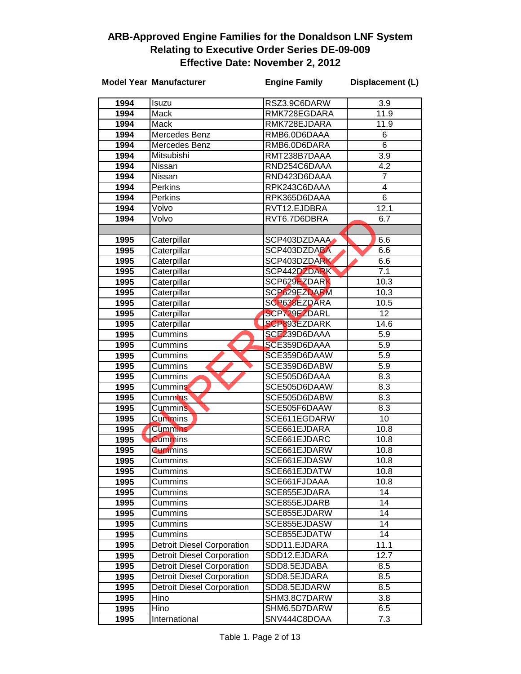|      | <b>Model Year Manufacturer</b>    | <b>Engine Family</b> | Displacement (L) |
|------|-----------------------------------|----------------------|------------------|
| 1994 | Isuzu                             | RSZ3.9C6DARW         | 3.9              |
| 1994 | Mack                              | RMK728EGDARA         | 11.9             |
| 1994 | Mack                              | RMK728EJDARA         | 11.9             |
| 1994 | Mercedes Benz                     | RMB6.0D6DAAA         | 6                |
| 1994 | Mercedes Benz                     | RMB6.0D6DARA         | 6                |
| 1994 | Mitsubishi                        | RMT238B7DAAA         | 3.9              |
| 1994 | Nissan                            | RND254C6DAAA         | 4.2              |
| 1994 | Nissan                            | RND423D6DAAA         | 7                |
| 1994 | Perkins                           | RPK243C6DAAA         | 4                |
| 1994 | <b>Perkins</b>                    | RPK365D6DAAA         | $\overline{6}$   |
| 1994 | Volvo                             | RVT12.EJDBRA         | 12.1             |
| 1994 | Volvo                             | RVT6.7D6DBRA         | 6.7              |
|      |                                   |                      |                  |
| 1995 | Caterpillar                       | SCP403DZDAAA         | 6.6              |
| 1995 | Caterpillar                       | SCP403DZDABA         | 6.6              |
| 1995 | Caterpillar                       | SCP403DZDARK         | 6.6              |
| 1995 | Caterpillar                       | SCP442DZDARK         | 7.1              |
| 1995 | Caterpillar                       | SCP629EZDARK         | 10.3             |
| 1995 | Caterpillar                       | SCP629EZDARM         | 10.3             |
| 1995 | Caterpillar                       | SCP638EZDARA         | 10.5             |
| 1995 | Caterpillar                       | SCP729EZDARL         | $\overline{12}$  |
| 1995 | Caterpillar                       | <b>SCP893EZDARK</b>  | 14.6             |
| 1995 | Cummins                           | SCE239D6DAAA         | 5.9              |
| 1995 | Cummins                           | SCE359D6DAAA         | 5.9              |
| 1995 | Cummins                           | SCE359D6DAAW         | 5.9              |
| 1995 | Cummins                           | SCE359D6DABW         | 5.9              |
| 1995 | Cummins                           | SCE505D6DAAA         | 8.3              |
| 1995 | <b>Cummins</b>                    | SCE505D6DAAW         | 8.3              |
| 1995 | Cummins <sup>®</sup>              | SCE505D6DABW         | 8.3              |
| 1995 | <b>Cummins</b>                    | SCE505F6DAAW         | 8.3              |
| 1995 | Cummins                           | SCE611EGDARW         | 10               |
| 1995 | <b>Cummins</b>                    | SCE661EJDARA         | 10.8             |
| 1995 | <b>Cummins</b>                    | SCE661EJDARC         | 10.8             |
| 1995 | <b>Cummins</b>                    | SCE661EJDARW         | 10.8             |
| 1995 | Cummins                           | SCE661EJDASW         | 10.8             |
| 1995 | Cummins                           | SCE661EJDATW         | 10.8             |
| 1995 | Cummins                           | SCE661FJDAAA         | 10.8             |
| 1995 | Cummins                           | SCE855EJDARA         | 14               |
| 1995 | Cummins                           | SCE855EJDARB         | 14               |
| 1995 | Cummins                           | SCE855EJDARW         | 14               |
| 1995 | Cummins                           | SCE855EJDASW         | 14               |
| 1995 | Cummins                           | SCE855EJDATW         | 14               |
| 1995 | <b>Detroit Diesel Corporation</b> | SDD11.EJDARA         | 11.1             |
| 1995 | <b>Detroit Diesel Corporation</b> | SDD12.EJDARA         | 12.7             |
| 1995 | <b>Detroit Diesel Corporation</b> | SDD8.5EJDABA         | 8.5              |
| 1995 | <b>Detroit Diesel Corporation</b> | SDD8.5EJDARA         | 8.5              |
| 1995 | <b>Detroit Diesel Corporation</b> | SDD8.5EJDARW         | 8.5              |
| 1995 | Hino                              | SHM3.8C7DARW         | 3.8              |
| 1995 | Hino                              | SHM6.5D7DARW         | 6.5              |
| 1995 | International                     | SNV444C8DOAA         | 7.3              |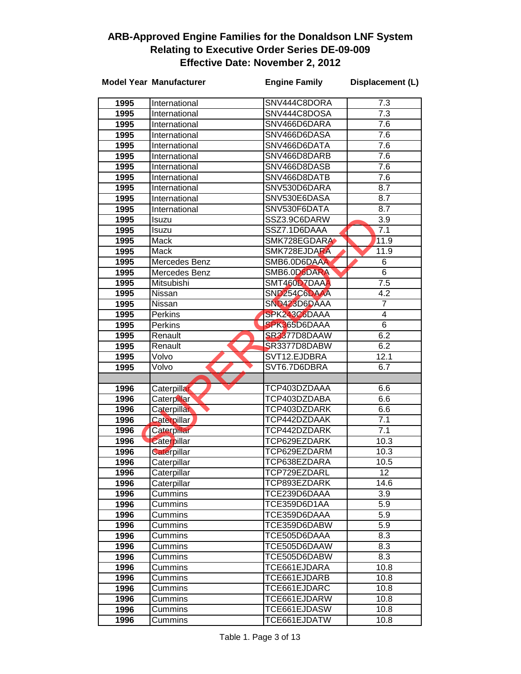|              | <b>Model Year Manufacturer</b> | <b>Engine Family</b>                     | Displacement (L)        |
|--------------|--------------------------------|------------------------------------------|-------------------------|
|              | International                  | SNV444C8DORA                             | 7.3                     |
| 1995         |                                | SNV444C8DOSA                             | $\overline{7.3}$        |
| 1995         | International                  |                                          |                         |
| 1995         | International                  | SNV466D6DARA                             | 7.6                     |
| 1995         | International                  | SNV466D6DASA                             | 7.6                     |
| 1995         | International                  | SNV466D6DATA                             | 7.6                     |
| 1995         | International                  | SNV466D8DARB                             | 7.6                     |
| 1995         | International                  | SNV466D8DASB<br>SNV466D8DATB             | 7.6                     |
| 1995         | International                  |                                          | 7.6<br>8.7              |
| 1995         | International                  | SNV530D6DARA                             |                         |
| 1995         | International                  | SNV530E6DASA<br>SNV530F6DATA             | 8.7<br>$\overline{8.7}$ |
| 1995         | International                  |                                          |                         |
| 1995         | Isuzu                          | SSZ3.9C6DARW                             | 3.9                     |
| 1995         | Isuzu                          | SSZ7.1D6DAAA                             | 7.1                     |
| 1995         | Mack                           | SMK728EGDARA                             | 11.9                    |
| 1995         | Mack                           | SMK728EJDARA                             | 11.9                    |
| 1995         | Mercedes Benz                  | SMB6.0D6DAAA                             | 6<br>$\overline{6}$     |
| 1995         | Mercedes Benz                  | SMB6.0D6DARA                             |                         |
| 1995         | Mitsubishi                     | SMT460D7DAAA<br>SND <sub>254C6DAAA</sub> | 7.5                     |
| 1995         | Nissan<br>Nissan               | SND423D6DAAA                             | 4.2<br>$\overline{7}$   |
| 1995<br>1995 |                                | SPK243C6DAAA                             | 4                       |
| 1995         | Perkins<br>Perkins             | SPK365D6DAAA                             | $\overline{6}$          |
| 1995         | Renault                        | SR3377D8DAAW                             | 6.2                     |
| 1995         | Renault                        | SR3377D8DABW                             | 6.2                     |
| 1995         | Volvo                          | SVT12.EJDBRA                             | 12.1                    |
| 1995         | Volvo                          | SVT6.7D6DBRA                             | 6.7                     |
|              |                                |                                          |                         |
| 1996         | Caterpillar                    | TCP403DZDAAA                             | 6.6                     |
| 1996         | Caterpillar                    | TCP403DZDABA                             | 6.6                     |
| 1996         | Caterpillar                    | TCP403DZDARK                             | 6.6                     |
| 1996         | <b>Caterpillar</b>             | TCP442DZDAAK                             | 7.1                     |
| 1996         | Caterpillar                    | TCP442DZDARK                             | 7.1                     |
| 1996         | Caterpillar                    | TCP629EZDARK                             | 10.3                    |
| 1996         | Caterpillar                    | TCP629EZDARM                             | 10.3                    |
| 1996         | Caterpillar                    | TCP638EZDARA                             | 10.5                    |
| 1996         | Caterpillar                    | TCP729EZDARL                             | 12                      |
| 1996         | Caterpillar                    | TCP893EZDARK                             | 14.6                    |
| 1996         | Cummins                        | TCE239D6DAAA                             | 3.9                     |
| 1996         | Cummins                        | TCE359D6D1AA                             | 5.9                     |
| 1996         | Cummins                        | TCE359D6DAAA                             | 5.9                     |
| 1996         | Cummins                        | TCE359D6DABW                             | 5.9                     |
| 1996         | Cummins                        | TCE505D6DAAA                             | 8.3                     |
| 1996         | Cummins                        | TCE505D6DAAW                             | 8.3                     |
| 1996         | Cummins                        | TCE505D6DABW                             | 8.3                     |
| 1996         | Cummins                        | TCE661EJDARA                             | 10.8                    |
| 1996         | Cummins                        | TCE661EJDARB                             | 10.8                    |
| 1996         | Cummins                        | TCE661EJDARC                             | 10.8                    |
| 1996         | Cummins                        | TCE661EJDARW                             | 10.8                    |
| 1996         | Cummins                        | TCE661EJDASW                             | 10.8                    |
| 1996         | Cummins                        | TCE661EJDATW                             | 10.8                    |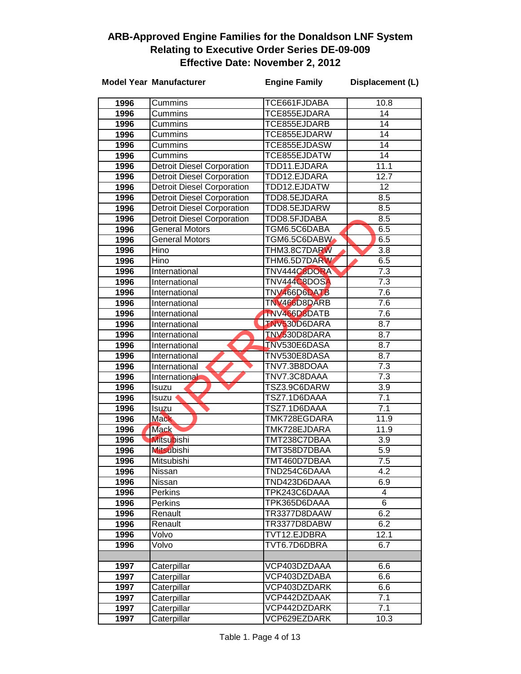|      | <b>Model Year Manufacturer</b>    | <b>Engine Family</b> | Displacement (L) |
|------|-----------------------------------|----------------------|------------------|
| 1996 | Cummins                           | TCE661FJDABA         | 10.8             |
| 1996 | Cummins                           | TCE855EJDARA         | $\overline{14}$  |
| 1996 | Cummins                           | TCE855EJDARB         | 14               |
| 1996 | Cummins                           | TCE855EJDARW         | $\overline{14}$  |
| 1996 | Cummins                           | TCE855EJDASW         | 14               |
| 1996 | Cummins                           | TCE855EJDATW         | 14               |
| 1996 | <b>Detroit Diesel Corporation</b> | TDD11.EJDARA         | 11.1             |
| 1996 | <b>Detroit Diesel Corporation</b> | TDD12.EJDARA         | 12.7             |
| 1996 | <b>Detroit Diesel Corporation</b> | TDD12.EJDATW         | 12               |
| 1996 | <b>Detroit Diesel Corporation</b> | TDD8.5EJDARA         | 8.5              |
| 1996 | <b>Detroit Diesel Corporation</b> | TDD8.5EJDARW         | 8.5              |
| 1996 | <b>Detroit Diesel Corporation</b> | TDD8.5FJDABA         | 8.5              |
| 1996 | <b>General Motors</b>             | TGM6.5C6DABA         | 6.5              |
| 1996 | <b>General Motors</b>             | TGM6.5C6DABW         | 6.5              |
| 1996 | Hino                              | THM3.8C7DARW         | 3.8              |
| 1996 | Hino                              | THM6.5D7DARW         | 6.5              |
| 1996 | International                     | TNV444C8DORA         | 7.3              |
| 1996 | International                     | TNV444C8DOSA         | 7.3              |
| 1996 | International                     | TNV466D6DATB         | 7.6              |
| 1996 | International                     | TNV466D8DARB         | 7.6              |
| 1996 | International                     | TNV466D8DATB         | 7.6              |
| 1996 | International                     | TNV530D6DARA         | 8.7              |
| 1996 | International                     | TNV530D8DARA         | 8.7              |
| 1996 | International                     | <b>TNV530E6DASA</b>  | 8.7              |
| 1996 | International                     | TNV530E8DASA         | 8.7              |
| 1996 | International                     | TNV7.3B8DOAA         | 7.3              |
| 1996 | International                     | TNV7.3C8DAAA         | 7.3              |
| 1996 | Isuzu                             | TSZ3.9C6DARW         | $\overline{3.9}$ |
| 1996 | lsuzu ·                           | TSZ7.1D6DAAA         | 7.1              |
| 1996 | Isuzu                             | TSZ7.1D6DAAA         | 7.1              |
| 1996 | <b>Mack</b>                       | TMK728EGDARA         | 11.9             |
| 1996 | <b>Mack</b>                       | TMK728EJDARA         | 11.9             |
| 1996 | <b>Mitsubishi</b>                 | TMT238C7DBAA         | $\overline{3.9}$ |
| 1996 | <b>Mitsubishi</b>                 | TMT358D7DBAA         | $\overline{5.9}$ |
| 1996 | Mitsubishi                        | TMT460D7DBAA         | $\overline{7.5}$ |
| 1996 | Nissan                            | TND254C6DAAA         | 4.2              |
| 1996 | Nissan                            | TND423D6DAAA         | 6.9              |
| 1996 | <b>Perkins</b>                    | TPK243C6DAAA         | 4                |
| 1996 | Perkins                           | TPK365D6DAAA         | 6                |
| 1996 | Renault                           | TR3377D8DAAW         | 6.2              |
| 1996 | Renault                           | TR3377D8DABW         | 6.2              |
| 1996 | Volvo                             | TVT12.EJDBRA         | 12.1             |
| 1996 | Volvo                             | TVT6.7D6DBRA         | 6.7              |
| 1997 | Caterpillar                       | VCP403DZDAAA         | 6.6              |
| 1997 | Caterpillar                       | VCP403DZDABA         | 6.6              |
| 1997 | Caterpillar                       | VCP403DZDARK         | 6.6              |
| 1997 | Caterpillar                       | VCP442DZDAAK         | 7.1              |
| 1997 | Caterpillar                       | VCP442DZDARK         | $\overline{7.1}$ |
| 1997 | Caterpillar                       | VCP629EZDARK         | 10.3             |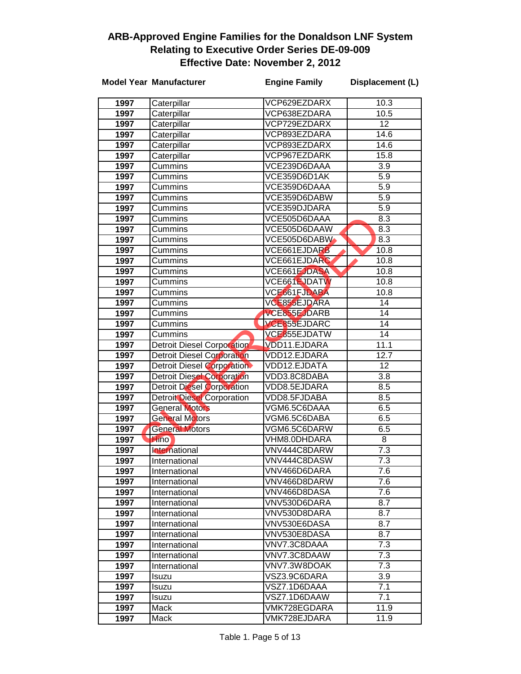|              | <b>Model Year Manufacturer</b>    | <b>Engine Family</b>         | Displacement (L) |
|--------------|-----------------------------------|------------------------------|------------------|
| 1997         | Caterpillar                       | VCP629EZDARX                 | 10.3             |
| 1997         | Caterpillar                       | VCP638EZDARA                 | 10.5             |
| 1997         | Caterpillar                       | VCP729EZDARX                 | 12               |
| 1997         | Caterpillar                       | VCP893EZDARA                 | 14.6             |
| 1997         | Caterpillar                       | VCP893EZDARX                 | 14.6             |
| 1997         | Caterpillar                       | VCP967EZDARK                 | 15.8             |
| 1997         | Cummins                           | VCE239D6DAAA                 | 3.9              |
| 1997         | Cummins                           | VCE359D6D1AK                 | 5.9              |
| 1997         | Cummins                           | VCE359D6DAAA                 | $\overline{5.9}$ |
| 1997         | Cummins                           | VCE359D6DABW                 | 5.9              |
| 1997         | Cummins                           | VCE359DJDARA                 | 5.9              |
| 1997         | Cummins                           | VCE505D6DAAA                 | 8.3              |
| 1997         | Cummins                           | VCE505D6DAAW                 | 8.3              |
| 1997         | Cummins                           | VCE505D6DABW                 | 8.3              |
| 1997         | Cummins                           | VCE661EJDARB                 | 10.8             |
| 1997         | Cummins                           | VCE661EJDARC                 | 10.8             |
| 1997         | Cummins                           | VCE661EJDASA                 | 10.8             |
| 1997         | Cummins                           | VCE661EJDATW                 | 10.8             |
| 1997         | Cummins                           | VCE661FJDABA                 | 10.8             |
| 1997         | Cummins                           | VCE855EJDARA                 | 14               |
| 1997         | Cummins                           | VCE855EJDARB                 | 14               |
| 1997         | Cummins                           | VCE855EJDARC                 | 14               |
| 1997         | Cummins                           | VCE855EJDATW                 | 14               |
| 1997         | <b>Detroit Diesel Corporation</b> | VDD11.EJDARA                 | 11.1             |
| 1997         | <b>Detroit Diesel Corporation</b> | VDD12.EJDARA                 | 12.7             |
| 1997         | <b>Detroit Diesel Corporation</b> | VDD12.EJDATA                 | 12               |
| 1997         | <b>Detroit Diesel Corporation</b> | VDD3.8C8DABA                 | $\overline{3.8}$ |
| 1997         | <b>Detroit Diesel Corporation</b> | VDD8.5EJDARA                 | 8.5              |
| 1997         | <b>Detroit Diesel Corporation</b> | VDD8.5FJDABA                 | 8.5              |
| 1997         | <b>General Motors</b>             | VGM6.5C6DAAA                 | 6.5              |
| 1997         | <b>General Motors</b>             | VGM6.5C6DABA                 | 6.5              |
| 1997         | <b>General Motors</b>             | VGM6.5C6DARW                 | 6.5              |
| 1997         | <b>Hino</b>                       | VHM8.0DHDARA<br>VNV444C8DARW | 8<br>7.3         |
| 1997<br>1997 | International                     | VNV444C8DASW                 | 7.3              |
| 1997         | International                     | VNV466D6DARA                 | 7.6              |
| 1997         | International<br>International    | VNV466D8DARW                 | 7.6              |
| 1997         | International                     | VNV466D8DASA                 | 7.6              |
| 1997         | International                     | VNV530D6DARA                 | 8.7              |
| 1997         | International                     | VNV530D8DARA                 | 8.7              |
| 1997         | International                     | VNV530E6DASA                 | 8.7              |
| 1997         | International                     | VNV530E8DASA                 | 8.7              |
| 1997         | International                     | VNV7.3C8DAAA                 | 7.3              |
| 1997         | International                     | VNV7.3C8DAAW                 | 7.3              |
| 1997         | International                     | VNV7.3W8DOAK                 | 7.3              |
| 1997         | <b>Isuzu</b>                      | VSZ3.9C6DARA                 | 3.9              |
| 1997         | <b>Isuzu</b>                      | VSZ7.1D6DAAA                 | 7.1              |
| 1997         | <b>Isuzu</b>                      | VSZ7.1D6DAAW                 | 7.1              |
| 1997         | Mack                              | VMK728EGDARA                 | 11.9             |
| 1997         | Mack                              | VMK728EJDARA                 | 11.9             |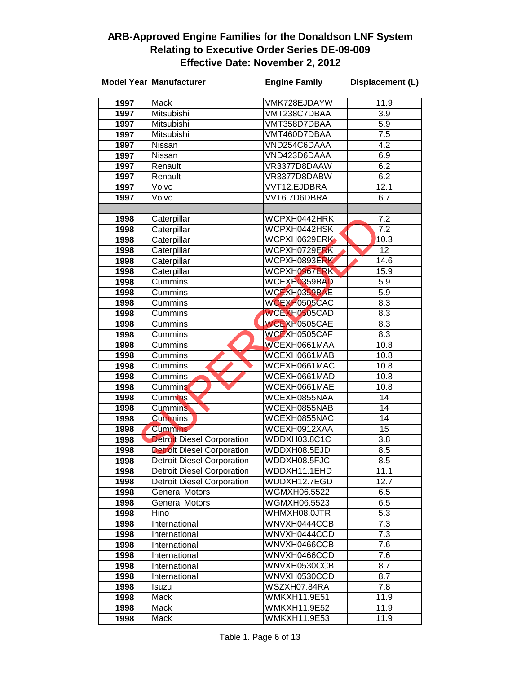|              | <b>Model Year Manufacturer</b>    | <b>Engine Family</b>         | Displacement (L)      |
|--------------|-----------------------------------|------------------------------|-----------------------|
| 1997         | Mack                              | VMK728EJDAYW                 | 11.9                  |
| 1997         | Mitsubishi                        | VMT238C7DBAA                 | 3.9                   |
| 1997         | Mitsubishi                        | VMT358D7DBAA                 | 5.9                   |
| 1997         | Mitsubishi                        | VMT460D7DBAA                 | 7.5                   |
| 1997         | Nissan                            | VND254C6DAAA                 | 4.2                   |
| 1997         | Nissan                            | VND423D6DAAA                 | 6.9                   |
| 1997         | Renault                           | VR3377D8DAAW                 | 6.2                   |
| 1997         | Renault                           | VR3377D8DABW                 | 6.2                   |
| 1997         | Volvo                             | VVT12.EJDBRA                 | 12.1                  |
| 1997         | Volvo                             | VVT6.7D6DBRA                 | 6.7                   |
|              |                                   |                              |                       |
| 1998         | Caterpillar                       | WCPXH0442HRK                 | $\overline{7.2}$      |
| 1998         | Caterpillar                       | WCPXH0442HSK                 | 7.2                   |
| 1998         | Caterpillar                       | WCPXH0629ERK                 | 10.3                  |
| 1998         | Caterpillar                       | WCPXH0729ERK                 | 12                    |
| 1998         | Caterpillar                       | WCPXH0893ERK                 | 14.6                  |
| 1998         | Caterpillar                       | WCPXH0967ERK                 | 15.9                  |
| 1998         | Cummins                           | WCEXH0359BAD                 | 5.9                   |
| 1998         | Cummins                           | WCEXH0359BAE                 | 5.9                   |
| 1998         | Cummins                           | WCEXH0505CAC                 | 8.3                   |
| 1998         | Cummins                           | WCEXH0505CAD                 | 8.3                   |
| 1998         | <b>Cummins</b>                    | WCEXH0505CAE                 | 8.3                   |
| 1998         | Cummins                           | WCEXH0505CAF                 | 8.3                   |
| 1998         | Cummins                           | WCEXH0661MAA                 | 10.8                  |
| 1998         | Cummins                           | WCEXH0661MAB                 | 10.8                  |
| 1998         | Cummins                           | WCEXH0661MAC                 | 10.8                  |
| 1998         | Cummins                           | WCEXH0661MAD                 | 10.8                  |
| 1998         | Cummins                           | WCEXH0661MAE                 | 10.8                  |
| 1998<br>1998 | <b>Cummins</b><br><b>Cummins</b>  | WCEXH0855NAA<br>WCEXH0855NAB | 14<br>$\overline{14}$ |
| 1998         | <b>Cummins</b>                    | WCEXH0855NAC                 | $\overline{14}$       |
| 1998         | <b>Cummins</b>                    | WCEXH0912XAA                 | $\overline{15}$       |
| 1998         | Detroit Diesel Corporation        | WDDXH03.8C1C                 | $\overline{3.8}$      |
| 1998         | <b>Detroit Diesel Corporation</b> | WDDXH08.5EJD                 | 8.5                   |
| 1998         | Detroit Diesel Corporation        | WDDXH08.5FJC                 | 8.5                   |
| 1998         | <b>Detroit Diesel Corporation</b> | WDDXH11.1EHD                 | 11.1                  |
| 1998         | <b>Detroit Diesel Corporation</b> | WDDXH12.7EGD                 | 12.7                  |
| 1998         | <b>General Motors</b>             | WGMXH06.5522                 | 6.5                   |
| 1998         | <b>General Motors</b>             | WGMXH06.5523                 | 6.5                   |
| 1998         | Hino                              | WHMXH08.0JTR                 | $5.\overline{3}$      |
| 1998         | International                     | WNVXH0444CCB                 | 7.3                   |
| 1998         | International                     | WNVXH0444CCD                 | 7.3                   |
| 1998         | International                     | WNVXH0466CCB                 | 7.6                   |
| 1998         | International                     | WNVXH0466CCD                 | 7.6                   |
| 1998         | International                     | WNVXH0530CCB                 | 8.7                   |
| 1998         | International                     | WNVXH0530CCD                 | 8.7                   |
| 1998         | Isuzu                             | WSZXH07.84RA                 | 7.8                   |
| 1998         | Mack                              | WMKXH11.9E51                 | 11.9                  |
| 1998         | Mack                              | <b>WMKXH11.9E52</b>          | 11.9                  |
| 1998         | Mack                              | WMKXH11.9E53                 | 11.9                  |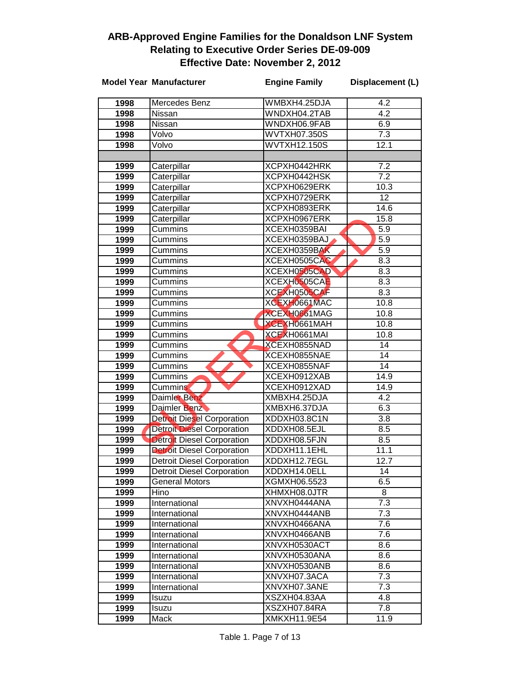|              | <b>Model Year Manufacturer</b>                                         | <b>Engine Family</b>         | Displacement (L) |
|--------------|------------------------------------------------------------------------|------------------------------|------------------|
| 1998         | Mercedes Benz                                                          | WMBXH4.25DJA                 | 4.2              |
| 1998         | Nissan                                                                 | WNDXH04.2TAB                 | $\overline{4.2}$ |
| 1998         | Nissan                                                                 | WNDXH06.9FAB                 | 6.9              |
| 1998         | Volvo                                                                  | <b>WVTXH07.350S</b>          | $\overline{7.3}$ |
| 1998         | Volvo                                                                  | WVTXH12.150S                 | 12.1             |
|              |                                                                        |                              |                  |
| 1999         | Caterpillar                                                            | XCPXH0442HRK                 | 7.2              |
| 1999         | Caterpillar                                                            | XCPXH0442HSK                 | $\overline{7.2}$ |
| 1999         | Caterpillar                                                            | XCPXH0629ERK                 | 10.3             |
| 1999         | Caterpillar                                                            | XCPXH0729ERK                 | $\overline{12}$  |
| 1999         | Caterpillar                                                            | XCPXH0893ERK                 | 14.6             |
| 1999         | Caterpillar                                                            | XCPXH0967ERK                 | 15.8             |
| 1999         | Cummins                                                                | XCEXH0359BAI                 | 5.9              |
| 1999         | Cummins                                                                | XCEXH0359BAJ                 | $\overline{5.9}$ |
| 1999         | Cummins                                                                | XCEXH0359BAK                 | 5.9              |
| 1999         | Cummins                                                                | XCEXH0505CAC                 | 8.3              |
| 1999         | Cummins                                                                | XCEXH0505CAD                 | 8.3              |
| 1999         | Cummins                                                                | XCEXH0505CAE                 | 8.3              |
| 1999         | Cummins                                                                | XCEXH0505CAF                 | $\overline{8.3}$ |
| 1999         | Cummins                                                                | XCEXH0661MAC                 | 10.8             |
| 1999         | Cummins                                                                | XCEXH0661MAG                 | 10.8             |
| 1999         | Cummins                                                                | XCEXH0661MAH                 | 10.8             |
| 1999         | Cummins                                                                | XCEXH0661MAI                 | 10.8             |
| 1999         | Cummins                                                                | XCEXH0855NAD                 | $\overline{14}$  |
| 1999         | Cummins                                                                | XCEXH0855NAE                 | $\overline{14}$  |
| 1999         | Cummins                                                                | XCEXH0855NAF                 | $\overline{14}$  |
| 1999         | Cummins                                                                | XCEXH0912XAB                 | 14.9             |
| 1999         | Cummins                                                                | XCEXH0912XAD                 | 14.9             |
| 1999         | <b>Daimler Benz</b>                                                    | XMBXH4.25DJA                 | 4.2              |
| 1999         | Daimler Benz                                                           | XMBXH6.37DJA                 | 6.3              |
| 1999         | <b>Detroit Diesel Corporation</b>                                      | XDDXH03.8C1N                 | $\overline{3.8}$ |
| 1999         | <b>Detroit Diesel Corporation</b>                                      | XDDXH08.5EJL                 | 8.5              |
| 1999<br>1999 | <b>Detroit Diesel Corporation</b>                                      | XDDXH08.5FJN<br>XDDXH11.1EHL | 8.5<br>11.1      |
|              | <b>Detroit Diesel Corporation</b>                                      |                              |                  |
| 1999<br>1999 | <b>Detroit Diesel Corporation</b><br><b>Detroit Diesel Corporation</b> | XDDXH12.7EGL<br>XDDXH14.0ELL | 12.7<br>14       |
| 1999         | <b>General Motors</b>                                                  | XGMXH06.5523                 | 6.5              |
| 1999         | Hino                                                                   | XHMXH08.0JTR                 | 8                |
| 1999         | International                                                          | XNVXH0444ANA                 | 7.3              |
| 1999         | International                                                          | XNVXH0444ANB                 | 7.3              |
| 1999         | International                                                          | XNVXH0466ANA                 | 7.6              |
| 1999         | International                                                          | XNVXH0466ANB                 | 7.6              |
| 1999         | International                                                          | XNVXH0530ACT                 | 8.6              |
| 1999         | International                                                          | XNVXH0530ANA                 | 8.6              |
| 1999         | International                                                          | XNVXH0530ANB                 | 8.6              |
| 1999         | International                                                          | XNVXH07.3ACA                 | 7.3              |
| 1999         | International                                                          | XNVXH07.3ANE                 | $\overline{7.3}$ |
| 1999         | Isuzu                                                                  | XSZXH04.83AA                 | 4.8              |
| 1999         | Isuzu                                                                  | XSZXH07.84RA                 | 7.8              |
| 1999         | Mack                                                                   | XMKXH11.9E54                 | 11.9             |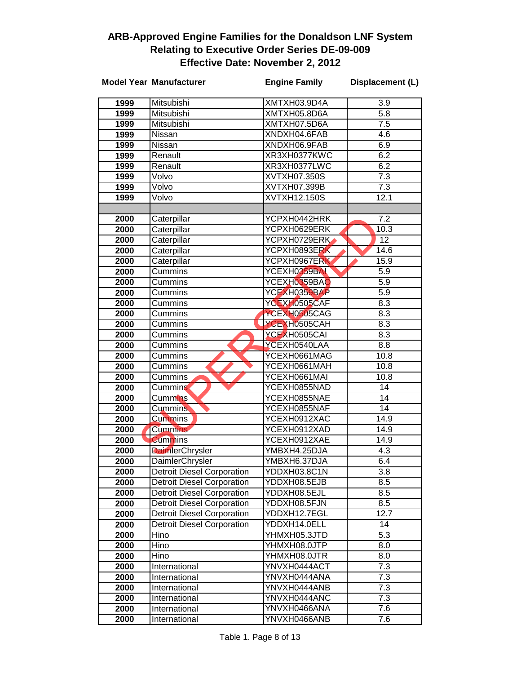|              | <b>Model Year Manufacturer</b>                       | <b>Engine Family</b>         | Displacement (L) |
|--------------|------------------------------------------------------|------------------------------|------------------|
| 1999         | Mitsubishi                                           | XMTXH03.9D4A                 | 3.9              |
| 1999         | Mitsubishi                                           | XMTXH05.8D6A                 | $\overline{5.8}$ |
| 1999         | Mitsubishi                                           | XMTXH07.5D6A                 | 7.5              |
| 1999         | Nissan                                               | XNDXH04.6FAB                 | 4.6              |
| 1999         | Nissan                                               | XNDXH06.9FAB                 | 6.9              |
| 1999         | Renault                                              | XR3XH0377KWC                 | 6.2              |
| 1999         | Renault                                              | XR3XH0377LWC                 | 6.2              |
| 1999         | Volvo                                                | XVTXH07.350S                 | 7.3              |
| 1999         | Volvo                                                | XVTXH07.399B                 | $\overline{7.3}$ |
| 1999         | Volvo                                                | XVTXH12.150S                 | 12.1             |
|              |                                                      |                              |                  |
| 2000         | Caterpillar                                          | YCPXH0442HRK                 | 7.2              |
| 2000         | Caterpillar                                          | YCPXH0629ERK                 | 10.3             |
| 2000         | Caterpillar                                          | YCPXH0729ERK                 | $\overline{12}$  |
| 2000         | Caterpillar                                          | YCPXH0893ERK                 | 14.6             |
| 2000         | Caterpillar                                          | YCPXH0967ERK                 | 15.9             |
| 2000         | Cummins                                              | YCEXH0359BAL                 | 5.9              |
| 2000         | Cummins                                              | YCEXH0359BAO                 | 5.9              |
| 2000         | Cummins                                              | YCEXH0359BAP                 | $\overline{5.9}$ |
| 2000         | Cummins                                              | YCEXH0505CAF                 | 8.3              |
| 2000         | Cummins                                              | YCEXH0505CAG                 | 8.3              |
| 2000         | Cummins                                              | YCEXH0505CAH                 | 8.3              |
| 2000         | Cummins                                              | YCEXH0505CAI                 | 8.3              |
| 2000         | Cummins                                              | YCEXH0540LAA                 | 8.8              |
| 2000         | Cummins                                              | YCEXH0661MAG                 | 10.8             |
| 2000         | Cummins                                              | YCEXH0661MAH                 | 10.8             |
| 2000         | Cummins                                              | YCEXH0661MAI                 | 10.8             |
| 2000         | <b>Cummins</b>                                       | YCEXH0855NAD                 | 14               |
| 2000         | Cummins                                              | YCEXH0855NAE                 | 14               |
| 2000         | <b>Cummins</b>                                       | YCEXH0855NAF                 | 14               |
| 2000         | <b>Cummins</b>                                       | YCEXH0912XAC                 | 14.9             |
| 2000         | <b>Cummins</b>                                       | YCEXH0912XAD                 | 14.9             |
| 2000         | <b>Cummins</b>                                       | YCEXH0912XAE                 | 14.9             |
| 2000         | DaimlerChrysler                                      | YMBXH4.25DJA                 | 4.3              |
| 2000<br>2000 | DaimlerChrysler<br><b>Detroit Diesel Corporation</b> | YMBXH6.37DJA<br>YDDXH03.8C1N | 6.4<br>3.8       |
| 2000         | <b>Detroit Diesel Corporation</b>                    | YDDXH08.5EJB                 | 8.5              |
| 2000         | <b>Detroit Diesel Corporation</b>                    | YDDXH08.5EJL                 | 8.5              |
| 2000         | <b>Detroit Diesel Corporation</b>                    | YDDXH08.5FJN                 | 8.5              |
| 2000         | <b>Detroit Diesel Corporation</b>                    | YDDXH12.7EGL                 | 12.7             |
| 2000         | <b>Detroit Diesel Corporation</b>                    | YDDXH14.0ELL                 | 14               |
| 2000         | Hino                                                 | YHMXH05.3JTD                 | $\overline{5.3}$ |
| 2000         | Hino                                                 | YHMXH08.0JTP                 | 8.0              |
| 2000         | Hino                                                 | YHMXH08.0JTR                 | 8.0              |
| 2000         | International                                        | YNVXH0444ACT                 | 7.3              |
| 2000         | International                                        | YNVXH0444ANA                 | 7.3              |
| 2000         | International                                        | YNVXH0444ANB                 | 7.3              |
| 2000         | International                                        | YNVXH0444ANC                 | 7.3              |
| 2000         | International                                        | YNVXH0466ANA                 | 7.6              |
| 2000         | International                                        | YNVXH0466ANB                 | 7.6              |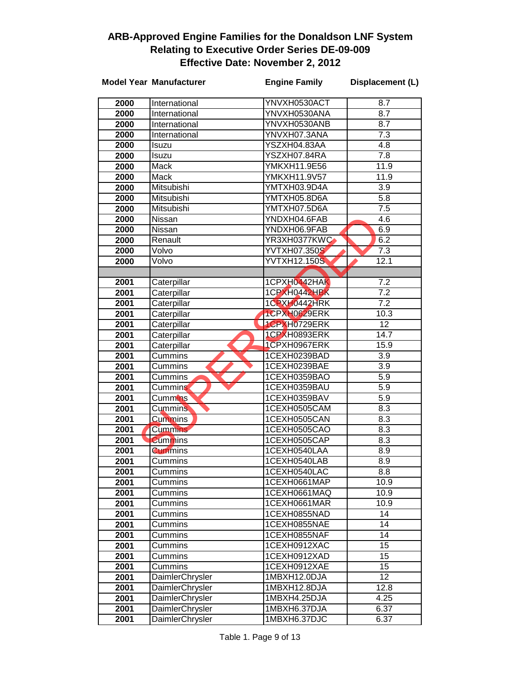|              | <b>Model Year Manufacturer</b> | <b>Engine Family</b>         | Displacement (L) |
|--------------|--------------------------------|------------------------------|------------------|
| 2000         | International                  | YNVXH0530ACT                 | $\overline{8.7}$ |
| 2000         | International                  | YNVXH0530ANA                 | 8.7              |
| 2000         | International                  | YNVXH0530ANB                 | 8.7              |
| 2000         | International                  | YNVXH07.3ANA                 | 7.3              |
| 2000         | Isuzu                          | YSZXH04.83AA                 | 4.8              |
| 2000         | Isuzu                          | YSZXH07.84RA                 | 7.8              |
| 2000         | Mack                           | YMKXH11.9E56                 | 11.9             |
| 2000         | Mack                           | <b>YMKXH11.9V57</b>          | 11.9             |
| 2000         | Mitsubishi                     | YMTXH03.9D4A                 | $\overline{3.9}$ |
| 2000         | Mitsubishi                     | YMTXH05.8D6A                 | 5.8              |
| 2000         | Mitsubishi                     | YMTXH07.5D6A                 | $\overline{7.5}$ |
| 2000         | Nissan                         | YNDXH04.6FAB                 | 4.6              |
| 2000         | Nissan                         | YNDXH06.9FAB                 | 6.9              |
| 2000         | Renault                        | YR3XH0377KWC                 | 6.2              |
| 2000         | Volvo                          | <b>YVTXH07.350S</b>          | 7.3              |
| 2000         | Volvo                          | <b>YVTXH12.150S</b>          | 12.1             |
|              |                                |                              |                  |
| 2001         | Caterpillar                    | 1CPXH0442HAK                 | 7.2              |
| 2001         | Caterpillar                    | 1CPXH0442HBK                 | 7.2              |
| 2001         | Caterpillar                    | 1CPXH0442HRK                 | $\overline{7.2}$ |
| 2001         | Caterpillar                    | 1CPXH0629ERK                 | 10.3             |
| 2001         | Caterpillar                    | 1CPXH0729ERK                 | 12               |
| 2001         | Caterpillar                    | 1CPXH0893ERK                 | 14.7             |
| 2001         | Caterpillar                    | 1CPXH0967ERK                 | 15.9             |
| 2001         | Cummins                        | 1CEXH0239BAD                 | $\overline{3.9}$ |
| 2001         | Cummins                        | 1CEXH0239BAE                 | 3.9              |
| 2001         | Cummins                        | 1CEXH0359BAO                 | 5.9              |
| 2001         | Cummins                        | 1CEXH0359BAU                 | 5.9              |
| 2001         | Cummins <sup>1</sup>           | 1CEXH0359BAV                 | 5.9              |
| 2001         | <b>Cummins</b>                 | 1CEXH0505CAM                 | 8.3              |
| 2001         | <b>Cummins</b>                 | 1CEXH0505CAN                 | 8.3              |
| 2001         | <b>Cummins</b>                 | 1CEXH0505CAO                 | 8.3              |
| 2001         | <b>Cummins</b>                 | 1CEXH0505CAP                 | 8.3              |
| 2001         | <b>Cummins</b>                 | 1CEXH0540LAA                 | $\overline{8.9}$ |
| 2001         | Cummins                        | 1CEXH0540LAB                 | 8.9              |
| 2001         | Cummins                        | 1CEXH0540LAC                 | 8.8              |
| 2001         | Cummins                        | 1CEXH0661MAP                 | 10.9             |
| 2001         | Cummins                        | 1CEXH0661MAQ                 | 10.9             |
| 2001         | Cummins                        | 1CEXH0661MAR                 | 10.9             |
| 2001         | Cummins                        | 1CEXH0855NAD                 | 14               |
| 2001         | Cummins                        | 1CEXH0855NAE                 | 14               |
| 2001         | Cummins                        | 1CEXH0855NAF                 | 14               |
| 2001         | Cummins<br>Cummins             | 1CEXH0912XAC<br>1CEXH0912XAD | 15<br>15         |
| 2001<br>2001 | Cummins                        | 1CEXH0912XAE                 | 15               |
| 2001         | DaimlerChrysler                | 1MBXH12.0DJA                 | 12               |
| 2001         | DaimlerChrysler                | 1MBXH12.8DJA                 | 12.8             |
| 2001         | <b>DaimlerChrysler</b>         | 1MBXH4.25DJA                 | 4.25             |
| 2001         | DaimlerChrysler                | 1MBXH6.37DJA                 | 6.37             |
| 2001         | <b>DaimlerChrysler</b>         | 1MBXH6.37DJC                 | 6.37             |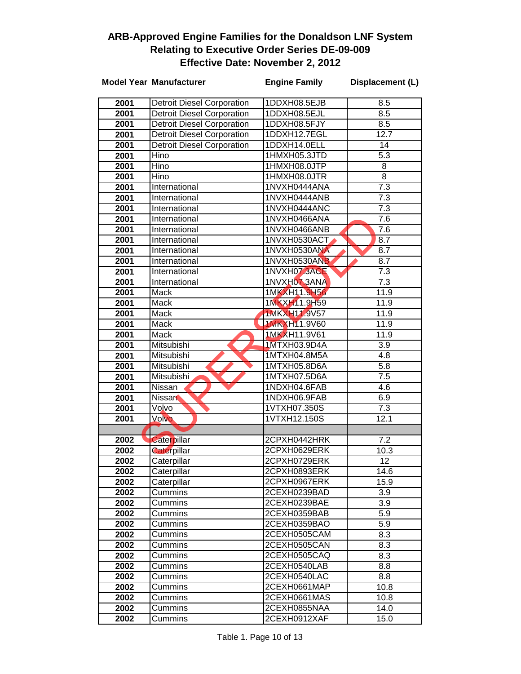|      | <b>Model Year Manufacturer</b>    | <b>Engine Family</b> | Displacement (L) |
|------|-----------------------------------|----------------------|------------------|
| 2001 | <b>Detroit Diesel Corporation</b> | 1DDXH08.5EJB         | 8.5              |
| 2001 | <b>Detroit Diesel Corporation</b> | 1DDXH08.5EJL         | 8.5              |
| 2001 | <b>Detroit Diesel Corporation</b> | 1DDXH08.5FJY         | 8.5              |
| 2001 | <b>Detroit Diesel Corporation</b> | 1DDXH12.7EGL         | 12.7             |
| 2001 | <b>Detroit Diesel Corporation</b> | 1DDXH14.0ELL         | 14               |
| 2001 | Hino                              | 1HMXH05.3JTD         | $\overline{5.3}$ |
| 2001 | Hino                              | 1HMXH08.0JTP         | 8                |
| 2001 | Hino                              | 1HMXH08.0JTR         | $\overline{8}$   |
| 2001 | International                     | 1NVXH0444ANA         | $\overline{7.3}$ |
| 2001 | International                     | 1NVXH0444ANB         | $\overline{7.3}$ |
| 2001 | International                     | 1NVXH0444ANC         | $\overline{7.3}$ |
| 2001 | International                     | 1NVXH0466ANA         | 7.6              |
| 2001 | International                     | 1NVXH0466ANB         | $\overline{7.6}$ |
| 2001 | International                     | 1NVXH0530ACT         | 8.7              |
| 2001 | International                     | 1NVXH0530ANA         | 8.7              |
| 2001 | International                     | 1NVXH0530ANB         | 8.7              |
| 2001 | International                     | 1NVXH07.3ACE         | 7.3              |
| 2001 | International                     | 1NVXH07.3ANA         | 7.3              |
| 2001 | Mack                              | 1MKXH11.9H56         | 11.9             |
| 2001 | Mack                              | 1MKXH11.9H59         | 11.9             |
| 2001 | Mack                              | 1MKXH11.9V57         | 11.9             |
| 2001 | <b>Mack</b>                       | <b>1MKXH11.9V60</b>  | 11.9             |
| 2001 | <b>Mack</b>                       | 1MKXH11.9V61         | 11.9             |
| 2001 | Mitsubishi                        | 1MTXH03.9D4A         | $\overline{3.9}$ |
| 2001 | Mitsubishi                        | 1MTXH04.8M5A         | $\overline{4.8}$ |
| 2001 | Mitsubishi                        | 1MTXH05.8D6A         | $\overline{5.8}$ |
| 2001 | Mitsubishi                        | 1MTXH07.5D6A         | $\overline{7.5}$ |
| 2001 | Nissan                            | 1NDXH04.6FAB         | 4.6              |
| 2001 | <b>Nissan</b>                     | 1NDXH06.9FAB         | 6.9              |
| 2001 | Volvo                             | 1VTXH07.350S         | $\overline{7.3}$ |
| 2001 | Volvo                             | 1VTXH12.150S         | 12.1             |
|      |                                   |                      |                  |
| 2002 | Caterpillar                       | 2CPXH0442HRK         | 7.2              |
| 2002 | <b>Caterpillar</b>                | 2CPXH0629ERK         | 10.3             |
| 2002 | Caterpillar                       | 2CPXH0729ERK         | 12               |
| 2002 | Caterpillar                       | 2CPXH0893ERK         | 14.6             |
| 2002 | Caterpillar                       | 2CPXH0967ERK         | 15.9             |
| 2002 | Cummins                           | 2CEXH0239BAD         | 3.9              |
| 2002 | Cummins                           | 2CEXH0239BAE         | 3.9              |
| 2002 | Cummins                           | 2CEXH0359BAB         | 5.9              |
| 2002 | Cummins                           | 2CEXH0359BAO         | 5.9              |
| 2002 | Cummins                           | 2CEXH0505CAM         | 8.3              |
| 2002 | Cummins                           | 2CEXH0505CAN         | 8.3              |
| 2002 | Cummins                           | 2CEXH0505CAQ         | 8.3              |
| 2002 | Cummins                           | 2CEXH0540LAB         | 8.8              |
| 2002 | Cummins                           | 2CEXH0540LAC         | 8.8              |
| 2002 | Cummins                           | 2CEXH0661MAP         | 10.8             |
| 2002 | Cummins                           | 2CEXH0661MAS         | 10.8             |
| 2002 | Cummins                           | 2CEXH0855NAA         | 14.0             |
| 2002 | Cummins                           | 2CEXH0912XAF         | 15.0             |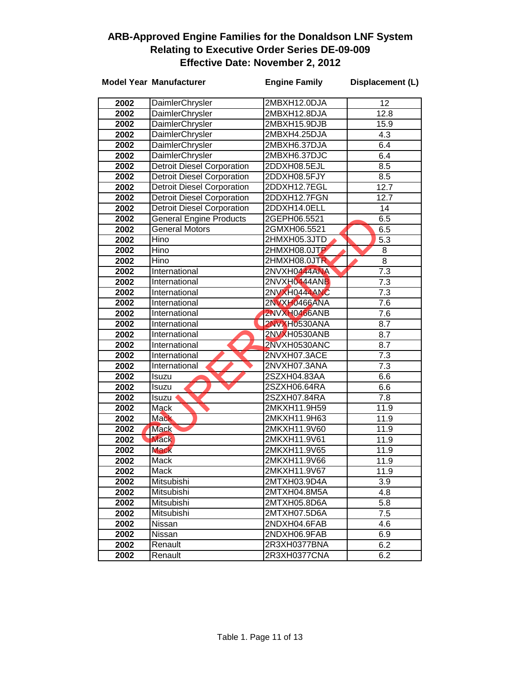|      | <b>Model Year Manufacturer</b>    | <b>Engine Family</b> | Displacement (L) |
|------|-----------------------------------|----------------------|------------------|
| 2002 | DaimlerChrysler                   | 2MBXH12.0DJA         | 12               |
| 2002 | DaimlerChrysler                   | 2MBXH12.8DJA         | 12.8             |
| 2002 | DaimlerChrysler                   | 2MBXH15.9DJB         | 15.9             |
| 2002 | DaimlerChrysler                   | 2MBXH4.25DJA         | 4.3              |
| 2002 | DaimlerChrysler                   | 2MBXH6.37DJA         | 6.4              |
| 2002 | DaimlerChrysler                   | 2MBXH6.37DJC         | 6.4              |
| 2002 | <b>Detroit Diesel Corporation</b> | 2DDXH08.5EJL         | 8.5              |
| 2002 | <b>Detroit Diesel Corporation</b> | 2DDXH08.5FJY         | 8.5              |
| 2002 | <b>Detroit Diesel Corporation</b> | 2DDXH12.7EGL         | 12.7             |
| 2002 | <b>Detroit Diesel Corporation</b> | 2DDXH12.7FGN         | 12.7             |
| 2002 | <b>Detroit Diesel Corporation</b> | 2DDXH14.0ELL         | 14               |
| 2002 | <b>General Engine Products</b>    | 2GEPH06.5521         | 6.5              |
| 2002 | <b>General Motors</b>             | 2GMXH06.5521         | 6.5              |
| 2002 | Hino                              | 2HMXH05.3JTD         | $\overline{5.3}$ |
| 2002 | Hino                              | 2HMXH08.0JTP         | 8                |
| 2002 | Hino                              | 2HMXH08.0JTR         | 8                |
| 2002 | International                     | 2NVXH0444ANA         | $\overline{7.3}$ |
| 2002 | International                     | 2NVXH0444ANB         | 7.3              |
| 2002 | International                     | 2NVXH0444ANC         | 7.3              |
| 2002 | International                     | 2NVXH0466ANA         | 7.6              |
| 2002 | International                     | 2NVXH0466ANB         | 7.6              |
| 2002 | International                     | 2NVXH0530ANA         | 8.7              |
| 2002 | International                     | 2NVXH0530ANB         | 8.7              |
| 2002 | International                     | 2NVXH0530ANC         | 8.7              |
| 2002 | International                     | 2NVXH07.3ACE         | 7.3              |
| 2002 | International                     | 2NVXH07.3ANA         | 7.3              |
| 2002 | Isuzu                             | 2SZXH04.83AA         | 6.6              |
| 2002 | Isuzu                             | 2SZXH06.64RA         | 6.6              |
| 2002 | Isuzu                             | 2SZXH07.84RA         | 7.8              |
| 2002 | Mack                              | 2MKXH11.9H59         | 11.9             |
| 2002 | <b>Mack</b>                       | 2MKXH11.9H63         | 11.9             |
| 2002 | <b>Mack</b>                       | 2MKXH11.9V60         | 11.9             |
| 2002 | <b>Mack</b>                       | 2MKXH11.9V61         | 11.9             |
| 2002 | <b>Mack</b>                       | 2MKXH11.9V65         | 11.9             |
| 2002 | Mack                              | 2MKXH11.9V66         | 11.9             |
| 2002 | Mack                              | 2MKXH11.9V67         | 11.9             |
| 2002 | Mitsubishi                        | 2MTXH03.9D4A         | 3.9              |
| 2002 | Mitsubishi                        | 2MTXH04.8M5A         | 4.8              |
| 2002 | Mitsubishi                        | 2MTXH05.8D6A         | 5.8              |
| 2002 | Mitsubishi                        | 2MTXH07.5D6A         | 7.5              |
| 2002 | Nissan                            | 2NDXH04.6FAB         | 4.6              |
| 2002 | Nissan                            | 2NDXH06.9FAB         | 6.9              |
| 2002 | Renault                           | 2R3XH0377BNA         | 6.2              |
| 2002 | Renault                           | 2R3XH0377CNA         | 6.2              |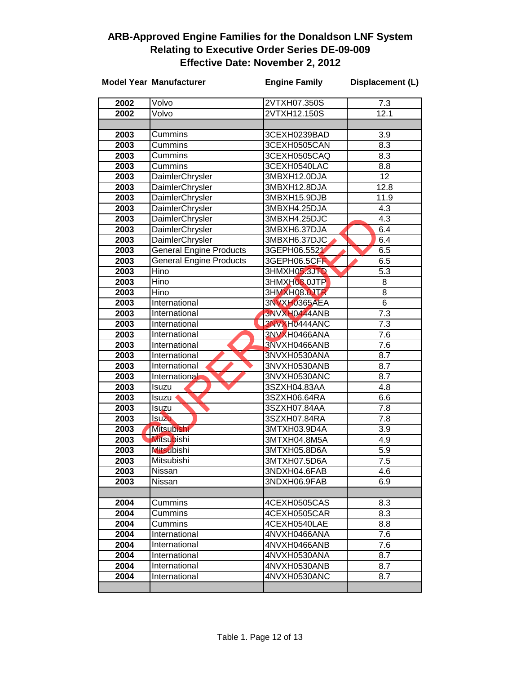|                  | <b>Model Year Manufacturer</b> | <b>Engine Family</b> | Displacement (L) |
|------------------|--------------------------------|----------------------|------------------|
| 2002             | Volvo                          | 2VTXH07.350S         | 7.3              |
| 2002             | Volvo                          | 2VTXH12.150S         | 12.1             |
|                  |                                |                      |                  |
| 2003             | <b>Cummins</b>                 | 3CEXH0239BAD         | 3.9              |
| 2003             | Cummins                        | 3CEXH0505CAN         | 8.3              |
| 2003             | Cummins                        | 3CEXH0505CAQ         | 8.3              |
| 2003             | Cummins                        | 3CEXH0540LAC         | 8.8              |
| 2003             | DaimlerChrysler                | 3MBXH12.0DJA         | $\overline{12}$  |
| 2003             | DaimlerChrysler                | 3MBXH12.8DJA         | 12.8             |
| 2003             | <b>DaimlerChrysler</b>         | 3MBXH15.9DJB         | 11.9             |
| 2003             | DaimlerChrysler                | 3MBXH4.25DJA         | $\overline{4.3}$ |
| 2003             | DaimlerChrysler                | 3MBXH4.25DJC         | 4.3              |
| 2003             | DaimlerChrysler                | 3MBXH6.37DJA         | 6.4              |
| 2003             | DaimlerChrysler                | 3MBXH6.37DJC         | 6.4              |
| 2003             | <b>General Engine Products</b> | 3GEPH06.5521         | 6.5              |
| 2003             | <b>General Engine Products</b> | 3GEPH06.5CFR         | 6.5              |
| 2003             | Hino                           | 3HMXH05.3JTD         | $\overline{5.3}$ |
| 2003             | Hino                           | 3HMXH08.0JTP         | 8                |
| 2003             | Hino                           | 3HMXH08.OJTR         | 8                |
| 2003             | International                  | 3NVXH0365AEA         | 6                |
| 2003             | International                  | 3NVXH0444ANB         | 7.3              |
| 2003             | International                  | 3NVXH0444ANC         | 7.3              |
| 2003             | International                  | 3NVXH0466ANA         | 7.6              |
| 2003             | International                  | 3NVXH0466ANB         | 7.6              |
| 2003             | International                  | 3NVXH0530ANA         | 8.7              |
| 2003             | International                  | 3NVXH0530ANB         | 8.7              |
| 2003             | International                  | 3NVXH0530ANC         | 8.7              |
| 2003             | Isuzu                          | 3SZXH04.83AA         | 4.8              |
| 2003             | Isuzu                          | 3SZXH06.64RA         | 6.6              |
| 2003             | Isuzu                          | 3SZXH07.84AA         | 7.8              |
| 2003             | Isuzu                          | 3SZXH07.84RA         | 7.8              |
| $\frac{1}{2003}$ | <b>Mitsubishi</b>              | 3MTXH03.9D4A         | 3.9              |
| 2003             | <b>Mitsubishi</b>              | 3MTXH04.8M5A         | 4.9              |
| 2003             | <b>Mitsubishi</b>              | 3MTXH05.8D6A         | 5.9              |
| 2003             | Mitsubishi                     | 3MTXH07.5D6A         | 7.5              |
| 2003             | Nissan                         | 3NDXH04.6FAB         | 4.6              |
| 2003             | Nissan                         | 3NDXH06.9FAB         | 6.9              |
|                  |                                |                      |                  |
| 2004             | Cummins                        | 4CEXH0505CAS         | 8.3              |
| 2004             | Cummins                        | 4CEXH0505CAR         | 8.3              |
| 2004             | Cummins                        | 4CEXH0540LAE         | 8.8              |
| 2004             | International                  | 4NVXH0466ANA         | 7.6              |
| 2004             | International                  | 4NVXH0466ANB         | 7.6              |
| 2004             | International                  | 4NVXH0530ANA         | 8.7              |
| 2004             | International                  | 4NVXH0530ANB         | 8.7              |
| 2004             | International                  | 4NVXH0530ANC         | 8.7              |
|                  |                                |                      |                  |